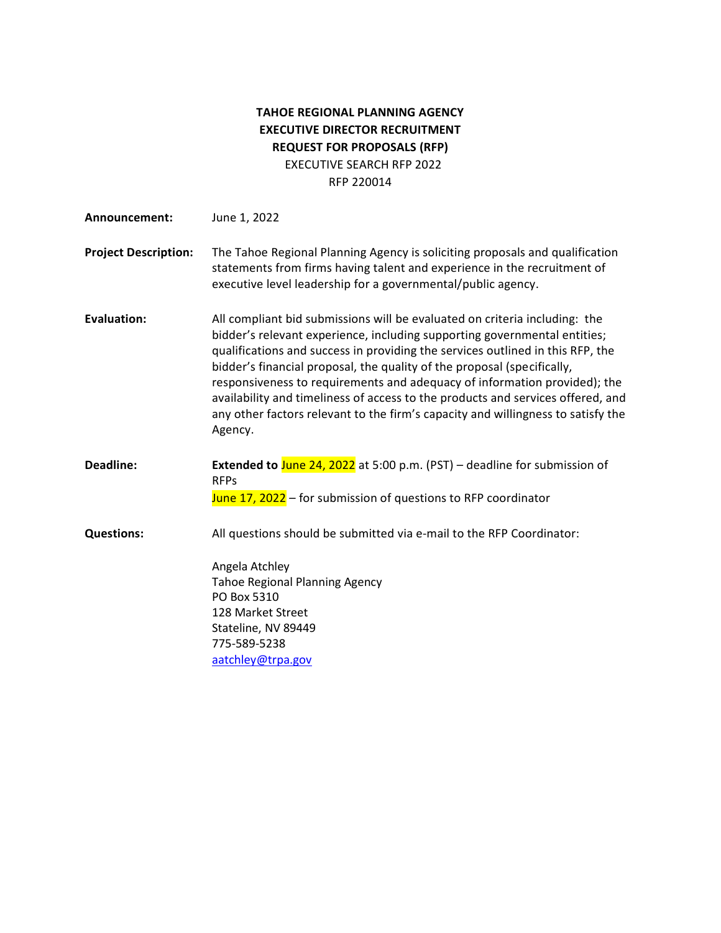# **TAHOE REGIONAL PLANNING AGENCY EXECUTIVE DIRECTOR RECRUITMENT REQUEST FOR PROPOSALS (RFP)** EXECUTIVE SEARCH RFP 2022 RFP 220014

| Announcement:               | June 1, 2022                                                                                                                                                                                                                                                                                                                                                                                                                                                                                                                                                                        |
|-----------------------------|-------------------------------------------------------------------------------------------------------------------------------------------------------------------------------------------------------------------------------------------------------------------------------------------------------------------------------------------------------------------------------------------------------------------------------------------------------------------------------------------------------------------------------------------------------------------------------------|
| <b>Project Description:</b> | The Tahoe Regional Planning Agency is soliciting proposals and qualification<br>statements from firms having talent and experience in the recruitment of<br>executive level leadership for a governmental/public agency.                                                                                                                                                                                                                                                                                                                                                            |
| <b>Evaluation:</b>          | All compliant bid submissions will be evaluated on criteria including: the<br>bidder's relevant experience, including supporting governmental entities;<br>qualifications and success in providing the services outlined in this RFP, the<br>bidder's financial proposal, the quality of the proposal (specifically,<br>responsiveness to requirements and adequacy of information provided); the<br>availability and timeliness of access to the products and services offered, and<br>any other factors relevant to the firm's capacity and willingness to satisfy the<br>Agency. |
| Deadline:                   | Extended to June 24, 2022 at 5:00 p.m. (PST) - deadline for submission of<br><b>RFPs</b>                                                                                                                                                                                                                                                                                                                                                                                                                                                                                            |
|                             | June 17, 2022 - for submission of questions to RFP coordinator                                                                                                                                                                                                                                                                                                                                                                                                                                                                                                                      |
| <b>Questions:</b>           | All questions should be submitted via e-mail to the RFP Coordinator:                                                                                                                                                                                                                                                                                                                                                                                                                                                                                                                |
|                             | Angela Atchley<br><b>Tahoe Regional Planning Agency</b>                                                                                                                                                                                                                                                                                                                                                                                                                                                                                                                             |
|                             | PO Box 5310                                                                                                                                                                                                                                                                                                                                                                                                                                                                                                                                                                         |
|                             | 128 Market Street                                                                                                                                                                                                                                                                                                                                                                                                                                                                                                                                                                   |
|                             | Stateline, NV 89449                                                                                                                                                                                                                                                                                                                                                                                                                                                                                                                                                                 |
|                             | 775-589-5238                                                                                                                                                                                                                                                                                                                                                                                                                                                                                                                                                                        |
|                             | aatchley@trpa.gov                                                                                                                                                                                                                                                                                                                                                                                                                                                                                                                                                                   |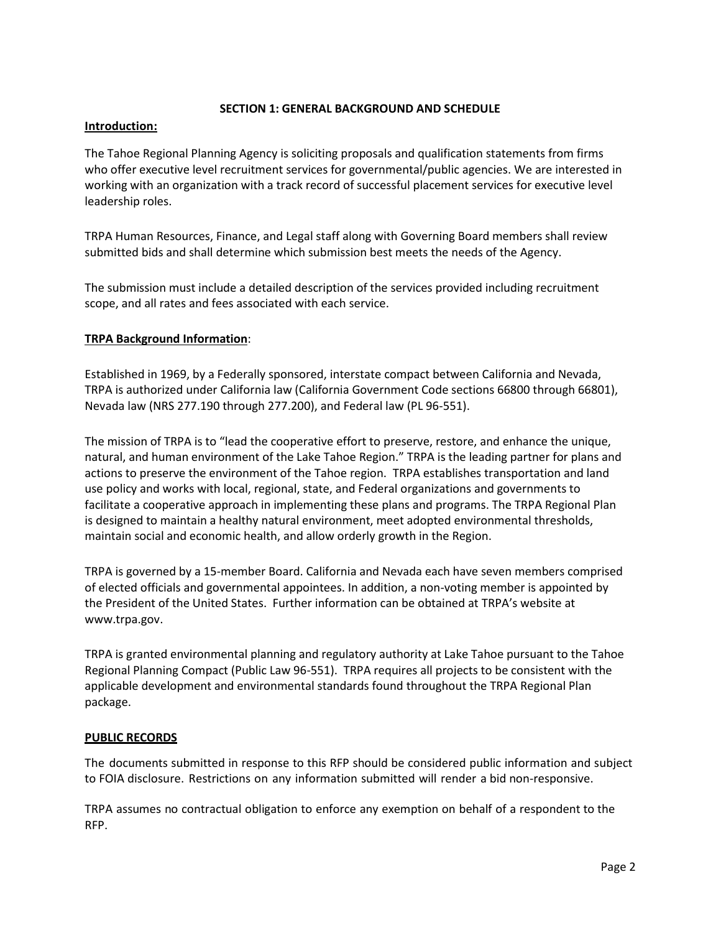# **SECTION 1: GENERAL BACKGROUND AND SCHEDULE**

# **Introduction:**

The Tahoe Regional Planning Agency is soliciting proposals and qualification statements from firms who offer executive level recruitment services for governmental/public agencies. We are interested in working with an organization with a track record of successful placement services for executive level leadership roles.

TRPA Human Resources, Finance, and Legal staff along with Governing Board members shall review submitted bids and shall determine which submission best meets the needs of the Agency.

The submission must include a detailed description of the services provided including recruitment scope, and all rates and fees associated with each service.

# **TRPA Background Information**:

Established in 1969, by a Federally sponsored, interstate compact between California and Nevada, TRPA is authorized under California law (California Government Code sections 66800 through 66801), Nevada law (NRS 277.190 through 277.200), and Federal law (PL 96-551).

The mission of TRPA is to "lead the cooperative effort to preserve, restore, and enhance the unique, natural, and human environment of the Lake Tahoe Region." TRPA is the leading partner for plans and actions to preserve the environment of the Tahoe region. TRPA establishes transportation and land use policy and works with local, regional, state, and Federal organizations and governments to facilitate a cooperative approach in implementing these plans and programs. The TRPA Regional Plan is designed to maintain a healthy natural environment, meet adopted environmental thresholds, maintain social and economic health, and allow orderly growth in the Region.

TRPA is governed by a 15-member Board. California and Nevada each have seven members comprised of elected officials and governmental appointees. In addition, a non-voting member is appointed by the President of the United States. Further information can be obtained at TRPA's website at www.trpa.gov.

TRPA is granted environmental planning and regulatory authority at Lake Tahoe pursuant to the Tahoe Regional Planning Compact (Public Law 96-551). TRPA requires all projects to be consistent with the applicable development and environmental standards found throughout the TRPA Regional Plan package.

#### **PUBLIC RECORDS**

The documents submitted in response to this RFP should be considered public information and subject to FOIA disclosure. Restrictions on any information submitted will render a bid non-responsive.

TRPA assumes no contractual obligation to enforce any exemption on behalf of a respondent to the RFP.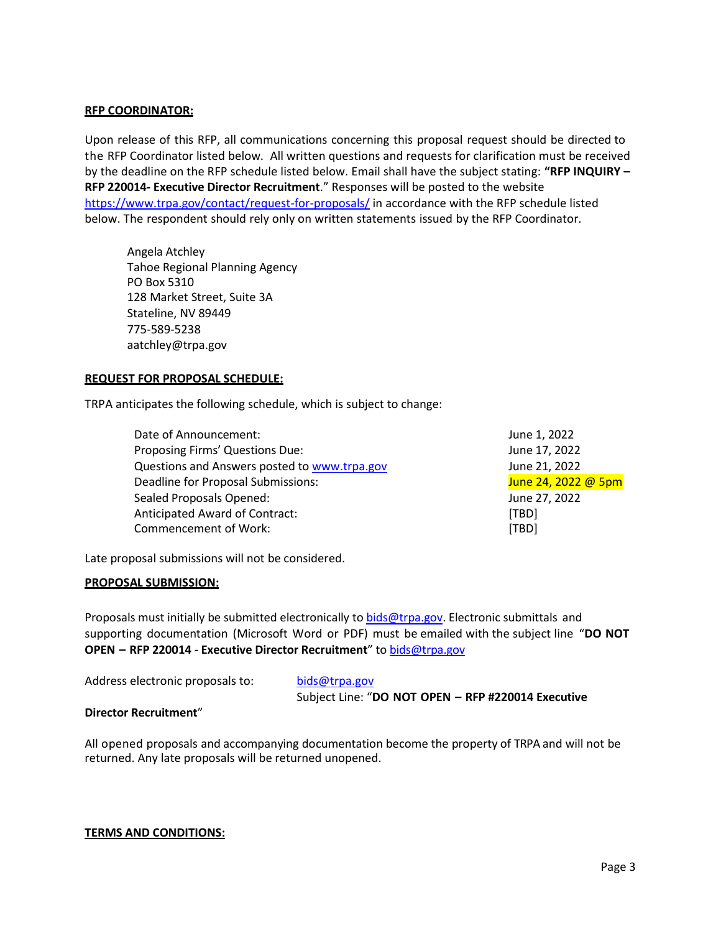# **RFP COORDINATOR:**

Upon release of this RFP, all communications concerning this proposal request should be directed to the RFP Coordinator listed below. All written questions and requests for clarification must be received by the deadline on the RFP schedule listed below. Email shall have the subject stating: **"RFP INQUIRY – RFP 220014- Executive Director Recruitment**." Responses will be posted to the website <https://www.trpa.gov/contact/request-for-proposals/> in accordance with the RFP schedule listed below. The respondent should rely only on written statements issued by the RFP Coordinator.

Angela Atchley Tahoe Regional Planning Agency PO Box 5310 128 Market Street, Suite 3A Stateline, NV 89449 775-589-5238 aatchley@trpa.gov

# **REQUEST FOR PROPOSAL SCHEDULE:**

TRPA anticipates the following schedule, which is subject to change:

| Date of Announcement:                        | June 1, 2022        |
|----------------------------------------------|---------------------|
| Proposing Firms' Questions Due:              | June 17, 2022       |
| Questions and Answers posted to www.trpa.gov | June 21, 2022       |
| Deadline for Proposal Submissions:           | June 24, 2022 @ 5pm |
| Sealed Proposals Opened:                     | June 27, 2022       |
| Anticipated Award of Contract:               | [TBD]               |
| <b>Commencement of Work:</b>                 | [TBD]               |

Late proposal submissions will not be considered.

#### **PROPOSAL SUBMISSION:**

Proposals must initially be submitted electronically to [bids@trpa.gov.](mailto:bids@trpa.gov) Electronic submittals and supporting documentation (Microsoft Word or PDF) must be emailed with the subject line "**DO NOT OPEN – RFP 220014 - Executive Director Recruitment**" t[o bids@trpa.gov](mailto:bids@trpa.gov)

| Address electronic proposals to: | bids@trpa.gov                                      |
|----------------------------------|----------------------------------------------------|
|                                  | Subject Line: "DO NOT OPEN - RFP #220014 Executive |

#### **Director Recruitment**"

All opened proposals and accompanying documentation become the property of TRPA and will not be returned. Any late proposals will be returned unopened.

#### **TERMS AND CONDITIONS:**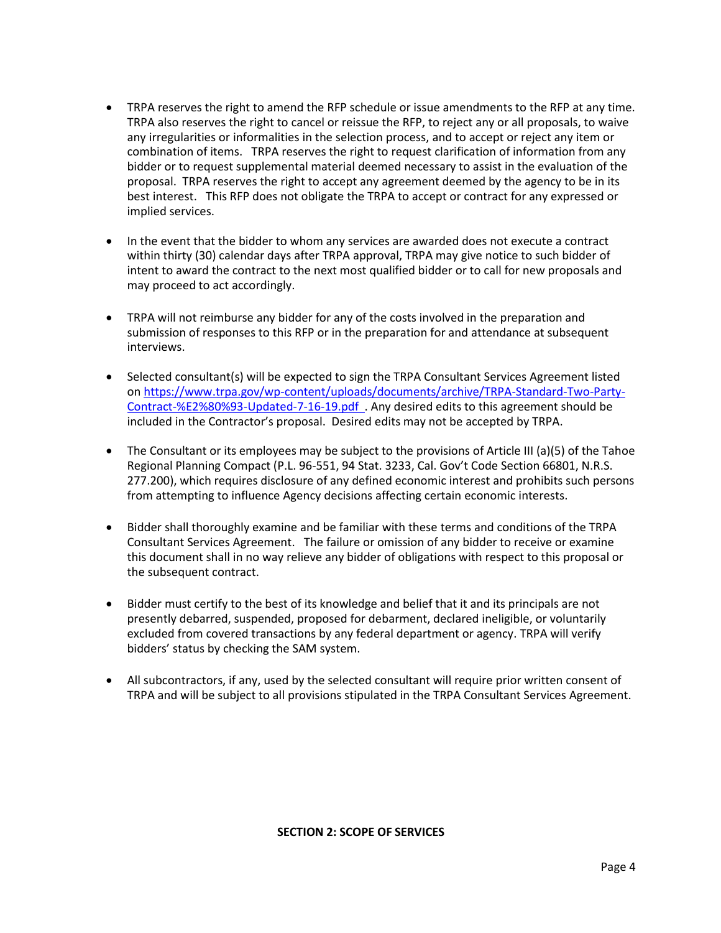- TRPA reserves the right to amend the RFP schedule or issue amendments to the RFP at any time. TRPA also reserves the right to cancel or reissue the RFP, to reject any or all proposals, to waive any irregularities or informalities in the selection process, and to accept or reject any item or combination of items. TRPA reserves the right to request clarification of information from any bidder or to request supplemental material deemed necessary to assist in the evaluation of the proposal. TRPA reserves the right to accept any agreement deemed by the agency to be in its best interest. This RFP does not obligate the TRPA to accept or contract for any expressed or implied services.
- In the event that the bidder to whom any services are awarded does not execute a contract within thirty (30) calendar days after TRPA approval, TRPA may give notice to such bidder of intent to award the contract to the next most qualified bidder or to call for new proposals and may proceed to act accordingly.
- TRPA will not reimburse any bidder for any of the costs involved in the preparation and submission of responses to this RFP or in the preparation for and attendance at subsequent interviews.
- Selected consultant(s) will be expected to sign the TRPA Consultant Services Agreement listed on [https://www.trpa.gov/wp-content/uploads/documents/archive/TRPA-Standard-Two-Party-](http://www.trpa.org/wp-content/uploads/TRPA-Two-Party-Contract.doc%20%20http:/www.trpa.org/default.aspx?tabindex=13&tabid=121)[Contract-%E2%80%93-Updated-7-16-19.pdf .](http://www.trpa.org/wp-content/uploads/TRPA-Two-Party-Contract.doc%20%20http:/www.trpa.org/default.aspx?tabindex=13&tabid=121) Any desired edits to this agreement should be included in the Contractor's proposal. Desired edits may not be accepted by TRPA.
- The Consultant or its employees may be subject to the provisions of Article III (a)(5) of the Tahoe Regional Planning Compact (P.L. 96-551, 94 Stat. 3233, Cal. Gov't Code Section 66801, N.R.S. 277.200), which requires disclosure of any defined economic interest and prohibits such persons from attempting to influence Agency decisions affecting certain economic interests.
- Bidder shall thoroughly examine and be familiar with these terms and conditions of the TRPA Consultant Services Agreement. The failure or omission of any bidder to receive or examine this document shall in no way relieve any bidder of obligations with respect to this proposal or the subsequent contract.
- Bidder must certify to the best of its knowledge and belief that it and its principals are not presently debarred, suspended, proposed for debarment, declared ineligible, or voluntarily excluded from covered transactions by any federal department or agency. TRPA will verify bidders' status by checking the SAM system.
- All subcontractors, if any, used by the selected consultant will require prior written consent of TRPA and will be subject to all provisions stipulated in the TRPA Consultant Services Agreement.

# **SECTION 2: SCOPE OF SERVICES**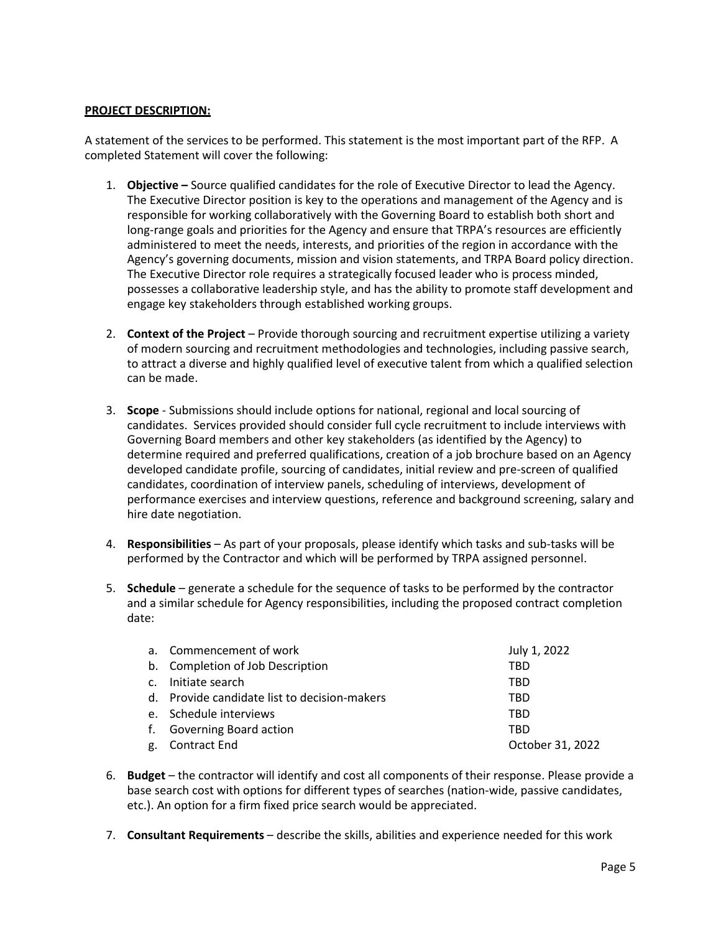# **PROJECT DESCRIPTION:**

A statement of the services to be performed. This statement is the most important part of the RFP. A completed Statement will cover the following:

- 1. **Objective –** Source qualified candidates for the role of Executive Director to lead the Agency. The Executive Director position is key to the operations and management of the Agency and is responsible for working collaboratively with the Governing Board to establish both short and long-range goals and priorities for the Agency and ensure that TRPA's resources are efficiently administered to meet the needs, interests, and priorities of the region in accordance with the Agency's governing documents, mission and vision statements, and TRPA Board policy direction. The Executive Director role requires a strategically focused leader who is process minded, possesses a collaborative leadership style, and has the ability to promote staff development and engage key stakeholders through established working groups.
- 2. **Context of the Project** Provide thorough sourcing and recruitment expertise utilizing a variety of modern sourcing and recruitment methodologies and technologies, including passive search, to attract a diverse and highly qualified level of executive talent from which a qualified selection can be made.
- 3. **Scope** Submissions should include options for national, regional and local sourcing of candidates. Services provided should consider full cycle recruitment to include interviews with Governing Board members and other key stakeholders (as identified by the Agency) to determine required and preferred qualifications, creation of a job brochure based on an Agency developed candidate profile, sourcing of candidates, initial review and pre-screen of qualified candidates, coordination of interview panels, scheduling of interviews, development of performance exercises and interview questions, reference and background screening, salary and hire date negotiation.
- 4. **Responsibilities** As part of your proposals, please identify which tasks and sub-tasks will be performed by the Contractor and which will be performed by TRPA assigned personnel.
- 5. **Schedule**  generate a schedule for the sequence of tasks to be performed by the contractor and a similar schedule for Agency responsibilities, including the proposed contract completion date:

| a. Commencement of work                      | July 1, 2022     |
|----------------------------------------------|------------------|
| b. Completion of Job Description             | <b>TBD</b>       |
| c. Initiate search                           | TBD              |
| d. Provide candidate list to decision-makers | TBD              |
| e. Schedule interviews                       | TBD              |
| f. Governing Board action                    | TBD              |
| g. Contract End                              | October 31, 2022 |

- 6. **Budget** the contractor will identify and cost all components of their response. Please provide a base search cost with options for different types of searches (nation-wide, passive candidates, etc.). An option for a firm fixed price search would be appreciated.
- 7. **Consultant Requirements** describe the skills, abilities and experience needed for this work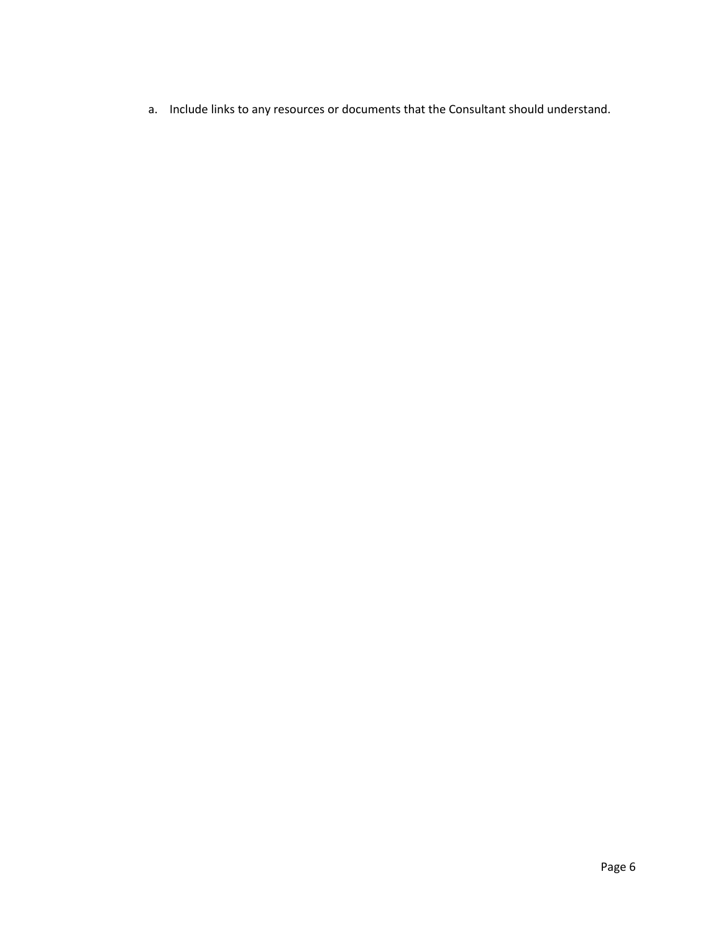a. Include links to any resources or documents that the Consultant should understand.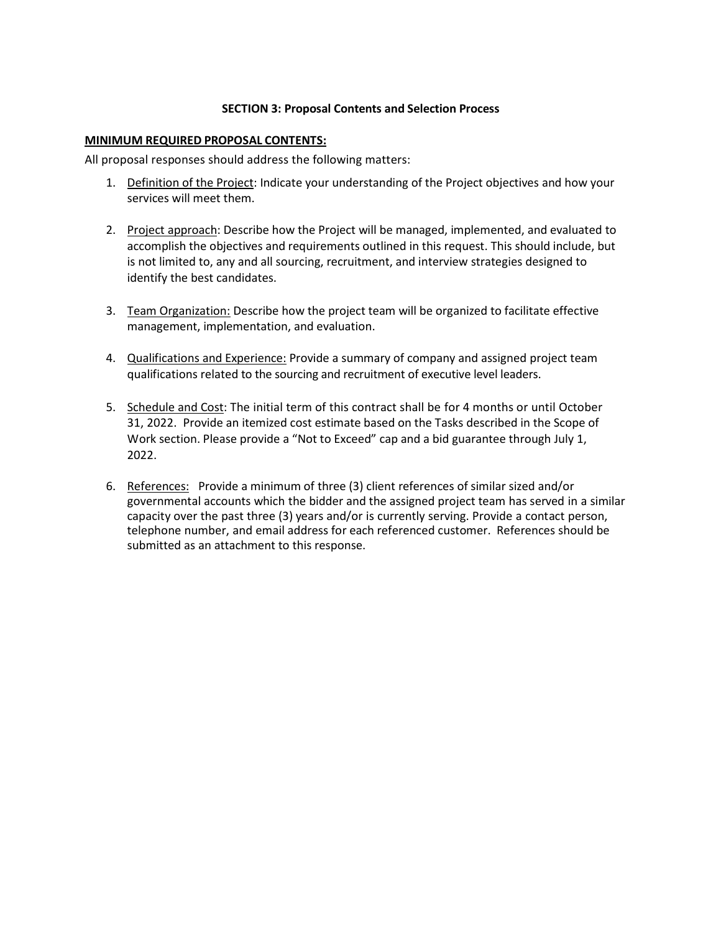# **SECTION 3: Proposal Contents and Selection Process**

#### **MINIMUM REQUIRED PROPOSAL CONTENTS:**

All proposal responses should address the following matters:

- 1. Definition of the Project: Indicate your understanding of the Project objectives and how your services will meet them.
- 2. Project approach: Describe how the Project will be managed, implemented, and evaluated to accomplish the objectives and requirements outlined in this request. This should include, but is not limited to, any and all sourcing, recruitment, and interview strategies designed to identify the best candidates.
- 3. Team Organization: Describe how the project team will be organized to facilitate effective management, implementation, and evaluation.
- 4. Qualifications and Experience: Provide a summary of company and assigned project team qualifications related to the sourcing and recruitment of executive level leaders.
- 5. Schedule and Cost: The initial term of this contract shall be for 4 months or until October 31, 2022. Provide an itemized cost estimate based on the Tasks described in the Scope of Work section. Please provide a "Not to Exceed" cap and a bid guarantee through July 1, 2022.
- 6. References: Provide a minimum of three (3) client references of similar sized and/or governmental accounts which the bidder and the assigned project team has served in a similar capacity over the past three (3) years and/or is currently serving. Provide a contact person, telephone number, and email address for each referenced customer. References should be submitted as an attachment to this response.